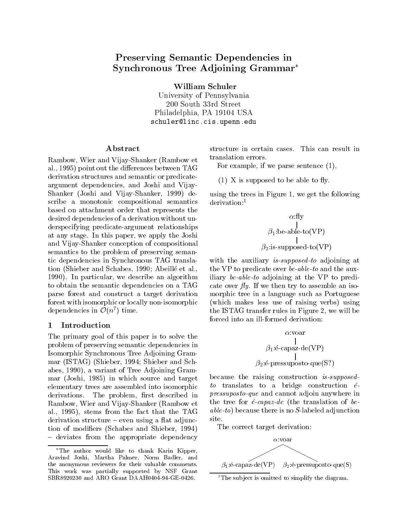# Preserving Semantic Dependencies in Synchronous Tree Adjoining Grammar

William Schuler

University of Pennsylvania 200 South 33rd Street Philadelphia, PA 19104 USA schuler@linc.cis.upenn.edu

### ${\bf Abstract}$

Rambow, Wier and Vijay-Shanker (Rambow et al., 1995) point out the differences between TAG derivation structures and semantic or predicateargument dependencies, and Joshi and Vijay-Shanker (Joshi and Vijay-Shanker, 1999) describe a monotonic compositional semantics based on attachment order that represents the desired dependencies of a derivation without underspecifying predicate-argument relationships at any stage. In this paper, we apply the Joshi and Vijay-Shanker conception of compositional semantics to the problem of preserving semantic dependencies in Synchronous TAG translation (Shieber and Schabes, 1990; Abeille et al., 1990). In particular, we describe an algorithm to obtain the semantic dependencies on a TAG parse forest and construct a target derivation forest with isomorphic or locally non-isomorphic dependencies in  $\mathcal{O}(n^2)$  time.

The primary goal of this paper is to solve the problem of preserving semantic dependencies in Isomorphic Synchronous Tree Adjoining Grammar (ISTAG) (Shieber, 1994; Shieber and Schabes, 1990), a variant of Tree Adjoining Grammar (Joshi, 1985) in which source and target elementary trees are assembled into isomorphic derivations. The problem, first described in Rambow, Wier and Vijay-Shanker (Rambow et al., 1995), stems from the fact that the TAG  $derivation$  structure  $-$  even using a flat adjunction of modiers (Schabes and Shieber, 1994) - deviates from the appropriate dependency

structure in certain cases. This can result in translation errors.

For example, if we parse sentence (1),

 $(1)$  X is supposed to be able to fly.

using the trees in Figure 1, we get the following derivation:<sup>1</sup>

$$
\alpha:\text{fly}\atop{\beta_1:\text{be-able-to(VP)}}\atop{\beta_2:\text{is-supposed-to(VP)}}
$$

with the auxiliary *is-supposed-to* adjoining at the VP to predicate over be-able-to and the auxiliary be-able-to adjoining at the  $VP$  to predicate over  $fly.$  If we then try to assemble an isomorphic tree in a language such as Portuguese (which makes less use of raising verbs) using the ISTAG transfer rules in Figure 2, we will be forced into an ill-formed derivation:

$$
\alpha:\text{voar} \quad \underset{\beta_1:\text{\'e-capaz-de(VP)}}{\overset{\text{1}}{\prod}} \quad \beta_2:\text{\'e-presuposto-que(S?)}
$$

because the raising construction is-supposedto translates to a bridge construction  $\acute{e}$ pressuposto-que and cannot adjoin anywhere in the tree for  $\acute{e}$ -capaz-de (the translation of beable-to) because there is no S-labeled adjunction site.

The correct target derivation:



<sup>&</sup>lt;sup>1</sup>The subject is omitted to simplify the diagram.

The author would like to thank Karin Kipper, Aravind Joshi, Martha Palmer, Norm Badler, and the anonymous reviewers for their valuable comments. This work was partially supported by NSF Grant SBR8920230 and ARO Grant DAAH0404-94-GE-0426.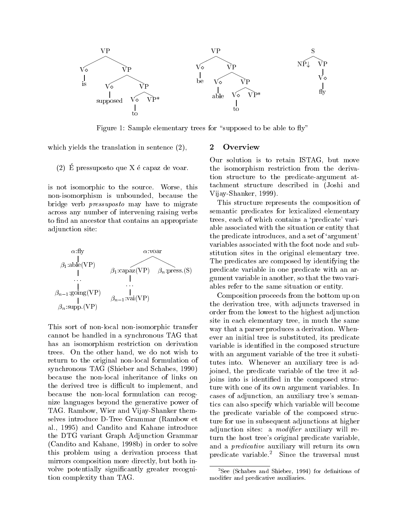

Figure 1: Sample elementary trees for "supposed to be able to  $fly"$ 

which yields the translation in sentence  $(2)$ ,

# (2) E pressuposto que X e capaz de voar.

is not isomorphic to the source. Worse, this non-isomorphism is unbounded, because the bridge verb pressuposto may have to migrate across any number of intervening raising verbs to find an ancestor that contains an appropriate adjunction site:



This sort of non-local non-isomorphic transfer cannot be handled in a synchronous TAG that has an isomorphism restriction on derivation trees. On the other hand, we do not wish to return to the original non-local formulation of synchronous TAG (Shieber and Schabes, 1990) because the non-local inheritance of links on the derived tree is difficult to implement, and because the non-local formulation can recognize languages beyond the generative power of TAG. Rambow, Wier and Vijay-Shanker themselves introduce D-Tree Grammar (Rambow et al., 1995) and Candito and Kahane introduce the DTG variant Graph Adjunction Grammar (Candito and Kahane, 1998b) in order to solve this problem using a derivation process that mirrors composition more directly, but both involve potentially signicantly greater recognition complexity than TAG.

### $\overline{2}$ **Overview**

Our solution is to retain ISTAG, but move the isomorphism restriction from the derivation structure to the predicate-argument attachment structure described in (Joshi and Vijay-Shanker, 1999).

This structure represents the composition of semantic predicates for lexicalized elementary trees, each of which contains a 'predicate' variable associated with the situation or entity that the predicate introduces, and a set of `argument' variables associated with the foot node and substitution sites in the original elementary tree. The predicates are composed by identifying the predicate variable in one predicate with an argument variable in another, so that the two variables refer to the same situation or entity.

Composition proceeds from the bottom up on the derivation tree, with adjuncts traversed in order from the lowest to the highest adjunction site in each elementary tree, in much the same way that a parser produces a derivation. Whenever an initial tree is substituted, its predicate variable is identied in the composed structure with an argument variable of the tree it substitutes into. Whenever an auxiliary tree is adjoined, the predicate variable of the tree it adjoins into is identied in the composed structure with one of its own argument variables. In cases of adjunction, an auxiliary tree's semantics can also specify which variable will become the predicate variable of the composed structure for use in subsequent adjunctions at higher adjunction sites: a *modifier* auxiliary will return the host tree's original predicate variable, and a predicative auxiliary will return its own predicate variable.<sup>2</sup> Since the traversal must

 $2$ See (Schabes and Shieber, 1994) for definitions of modier and predicative auxiliaries.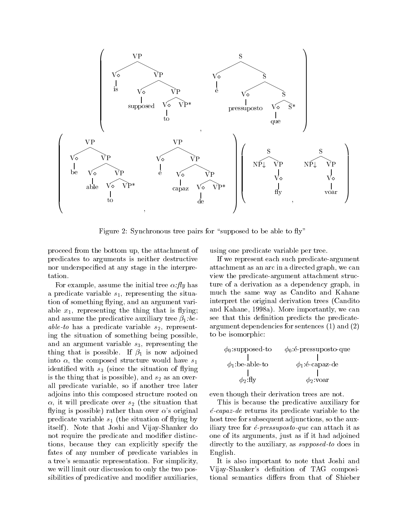

Figure 2: Synchronous tree pairs for "supposed to be able to  $fly$ "

proceed from the bottom up, the attachment of predicates to arguments is neither destructive nor underspecied at any stage in the interpretation.

For example, assume the initial tree  $\alpha$ : fly has a predicate variable  $s_1$ , representing the situation of something flying, and an argument variable  $x_1$ , representing the thing that is flying; and assume the predicative auxiliary tree  $\beta_1$ :beable-to has a predicate variable  $s_2$ , representing the situation of something being possible, and an argument variable  $s_3$ , representing the thing that is possible. If  $\beta_1$  is now adjoined into  $\alpha$ , the composed structure would have  $s_1$ identified with  $s_3$  (since the situation of flying is the thing that is possible), and  $s_2$  as an overall predicate variable, so if another tree later adjoins into this composed structure rooted on  $\alpha$ , it will predicate over  $s_2$  (the situation that flying is possible) rather than over  $\alpha$ 's original predicate variable  $s_1$  (the situation of flying by itself). Note that Joshi and Vijay-Shanker do not require the predicate and modifier distinctions, because they can explicitly specify the fates of any number of predicate variables in a tree's semantic representation. For simplicity, we will limit our discussion to only the two possibilities of predicative and modifier auxiliaries,

using one predicate variable per tree.

If we represent each such predicate-argument attachment as an arc in a directed graph, we can view the predicate-argument attachment structure of a derivation as a dependency graph, in much the same way as Candito and Kahane interpret the original derivation trees (Candito and Kahane, 1998a). More importantly, we can see that this definition predicts the predicateargument dependencies for sentences (1) and (2) to be isomorphic:

$$
\phi_0:\text{supposed-to}\qquad \phi_0:\text{\'e-pressuposto-que}\\ \phi_1:\text{be-able-to}\qquad \phi_1:\text{\'e-capaz-de}\\ \phi_2:\text{fly}\qquad \phi_2:\text{voar}
$$

even though their derivation trees are not.

 $\forall$  2  $\rightarrow$  7  $\rightarrow$  7  $\rightarrow$  7  $\rightarrow$  7  $\rightarrow$  7  $\rightarrow$  7  $\rightarrow$  7  $\rightarrow$  7  $\rightarrow$  7  $\rightarrow$  7  $\rightarrow$  7  $\rightarrow$  7  $\rightarrow$  7  $\rightarrow$  7  $\rightarrow$  7  $\rightarrow$  7  $\rightarrow$  7  $\rightarrow$  7  $\rightarrow$  7  $\rightarrow$  7  $\rightarrow$  7  $\rightarrow$  7  $\rightarrow$  7  $\rightarrow$  7  $\rightarrow$  7  $\rightarrow$  7  $\rightarrow$  7  $\rightarrow$  7  $\rightarrow$  7  $\rightarrow$  7  $\rightarrow$ 

This is because the predicative auxiliary for  $\acute{e}$ -capaz-de returns its predicate variable to the host tree for subsequent adjunctions, so the auxiliary tree for  $\acute{e}$ -pressuposto-que can attach it as one of its arguments, just as if it had adjoined directly to the auxiliary, as supposed-to does in English.

It is also important to note that Joshi and Vijay-Shanker's definition of TAG compositional semantics differs from that of Shieber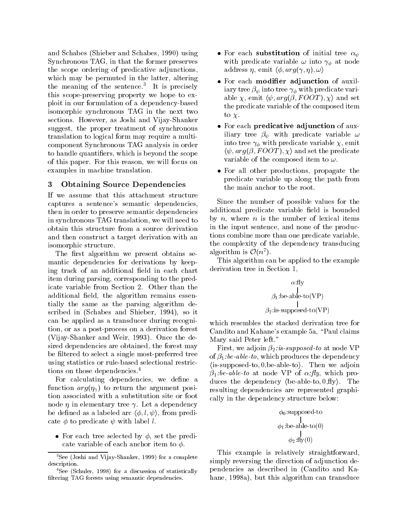and Schabes (Shieber and Schabes, 1990) using Synchronous TAG, in that the former preserves the scope ordering of predicative adjunctions, which may be permuted in the latter, altering the meaning of the sentence. It is precisely  $\cdot$ this scope-preserving property we hope to exploit in our formulation of a dependency-based isomorphic synchronous TAG in the next two sections. However, as Joshi and Vijay-Shanker suggest, the proper treatment of synchronous translation to logical form may require a multicomponent Synchronous TAG analysis in order to handle quantifiers, which is beyond the scope of this paper. For this reason, we will focus on examples in machine translation.

# 3 Obtaining Source Dependencies

If we assume that this attachment structure captures a sentence's semantic dependencies, then in order to preserve semantic dependencies in synchronous TAG translation, we will need to obtain this structure from a source derivation and then construct a target derivation with an isomorphic structure.

The first algorithm we present obtains semantic dependencies for derivations by keeping track of an additional field in each chart item during parsing, corresponding to the predicate variable from Section 2. Other than the additional field, the algorithm remains essentially the same as the parsing algorithm described in (Schabes and Shieber, 1994), so it can be applied as a transducer during recognition, or as a post-process on a derivation forest (Vijay-Shanker and Weir, 1993). Once the desired dependencies are obtained, the forest may be filtered to select a single most-preferred tree using statistics or rule-based selectional restrictions on those dependencies.<sup>4</sup>

For calculating dependencies, we define a function  $arg(\eta_{\gamma})$  to return the argument position associated with a substitution site or foot node  $\eta$  in elementary tree  $\gamma$ . Let a dependency be defined as a labeled arc  $\langle \phi, l, \psi \rangle$ , from predicate  $\phi$  to predicate  $\psi$  with label l.

• For each tree selected by  $\phi$ , set the predicate variable of each anchor item to  $\phi$ .

- For each substitution of initial tree  $\alpha_{\psi}$ with predicate variable  $\omega$  into  $\gamma_{\phi}$  at node address  $\eta$ , emit  $\langle \phi, arg(\gamma, \eta), \omega \rangle$
- For each modifier adjunction of auxiliary tree  $\beta_{\psi}$  into tree  $\gamma_{\phi}$  with predicate variable  $\chi$ , emit  $\langle \psi, arg(\beta,FOOT), \chi \rangle$  and set the predicate variable of the composed item to  $\chi$ .
- For each **predicative adjunction** of auxiliary tree  $\beta_{\psi}$  with predicate variable  $\omega$ into tree  $\gamma_{\phi}$  with predicate variable  $\chi$ , emit  $\langle \psi, arg(\beta,FOOT), \chi \rangle$  and set the predicate variable of the composed item to  $\omega$ .
- For all other productions, propagate the predicate variable up along the path from the main anchor to the root.

Since the number of possible values for the additional predicate variable field is bounded by  $n$ , where  $n$  is the number of lexical items in the input sentence, and none of the productions combine more than one predicate variable, the complexity of the dependency transducing algorithm is  $\mathcal{O}(n^2)$ .

This algorithm can be applied to the example derivation tree in Section 1,

$$
\alpha: \text{fly} \\
 | \\
 \beta_1: \text{be-able-to(VP)} \\
 | \\
 \beta_2: \text{is-supposed-to(VP)}
$$

which resembles the stacked derivation tree for Candito and Kahane's example 5a, "Paul claims Mary said Peter left."

First, we adjoin  $\beta_2$ : *is-supposed-to* at node VP of  $\beta_1$ :be-able-to, which produces the dependency  $\langle$  is-supposed-to, 0, be-able-to $\rangle$ . Then we adjoin  $\beta_1:be-able-to$  at node VP of  $\alpha: fly$ , which produces the dependency  $\langle$  be-able-to,  $0, fly \rangle$ . The resulting dependencies are represented graphically in the dependency structure below:

$$
\phi_0:\t\t\text{supposed-to}\t\t\t\t\text{int}\newline\n\phi_1:\text{be-able-to}(0)\newline\n\phi_2:\text{fly}(0)
$$

This example is relatively straightforward, simply reversing the direction of adjunction dependencies as described in (Candito and Kahane, 1998a), but this algorithm can transduce

 ${}^{3}$ See (Joshi and Vijay-Shanker, 1999) for a complete description.

<sup>&</sup>lt;sup>4</sup>See (Schuler, 1998) for a discussion of statistically filtering TAG forests using semantic dependencies.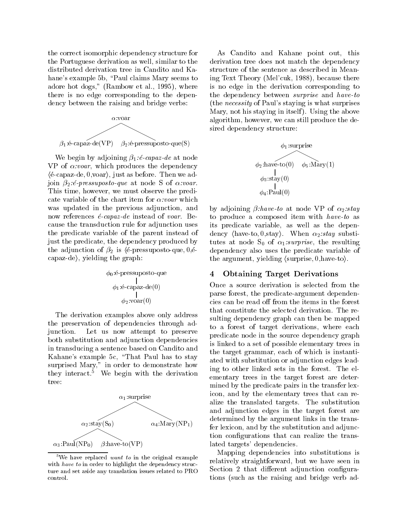the correct isomorphic dependency structure for the Portuguese derivation as well, similar to the distributed derivation tree in Candito and Kahane's example 5b, "Paul claims Mary seems to adore hot dogs," (Rambow et al., 1995), where there is no edge corresponding to the dependency between the raising and bridge verbs:



We begin by adjoining  $\beta_1$ : *é-capaz-de* at node VP of  $\alpha:vox$ , which produces the dependency  $\langle \text{\'e-capaz-de}, 0, \text{voar} \rangle$ , just as before. Then we adjoin  $\beta_2$ : é-pressuposto-que at node S of  $\alpha$ :voar. This time, however, we must observe the predicate variable of the chart item for  $\alpha:voar$  which was updated in the previous adjunction, and now references  $\acute{e}$ -capaz-de instead of voar. Because the transduction rule for adjunction uses the predicate variable of the parent instead of just the predicate, the dependency produced by the adjunction of  $\beta_2$  is (é-pressuposto-que, 0, é- $\langle \text{capaz-de} \rangle$ , yielding the graph:

$$
\phi_0: \text{\'e-presuposto-que} \newline \downarrow \\ \phi_1: \text{\'e-capaz-de}(0) \\ \downarrow \\ \phi_2: \text{voar}(0)
$$

The derivation examples above only address the preservation of dependencies through adjunction. Let us now attempt to preserve both substitution and adjunction dependencies in transducing a sentence based on Candito and Kahane's example 5c, "That Paul has to stay surprised Mary, the demonstrate how the demonstrate  $\sim$ they interact.<sup>5</sup> We begin with the derivation tree:



<sup>&</sup>lt;sup>5</sup>We have replaced *want to* in the original example with have to in order to highlight the dependency structure and set aside any translation issues related to PRO control.

As Candito and Kahane point out, this derivation tree does not match the dependency structure of the sentence as described in Meaning Text Theory (Mel'cuk, 1988), because there is no edge in the derivation corresponding to the dependency between surprise and have-to (the necessity of Paul's staying is what surprises Mary, not his staying in itself ). Using the above algorithm, however, we can still produce the desired dependency structure:



by adjoining  $\beta$ :have-to at node VP of  $\alpha_2$ :stay to produce a composed item with have-to as its predicate variable, as well as the dependency  $\langle$ have-to, 0,stay $\rangle$ . When  $\alpha_2:$ stay substitutes at node  $S_0$  of  $\alpha_1$ :surprise, the resulting dependency also uses the predicate variable of the argument, yielding  $\langle$  surprise, 0, have-to $\rangle$ .

# 4 Obtaining Target Derivations

Once a source derivation is selected from the parse forest, the predicate-argument dependencies can be read off from the items in the forest that constitute the selected derivation. The resulting dependency graph can then be mapped to a forest of target derivations, where each predicate node in the source dependency graph is linked to a set of possible elementary trees in the target grammar, each of which is instantiated with substitution or adjunction edges leading to other linked sets in the forest. The elementary trees in the target forest are determined by the predicate pairs in the transfer lexicon, and by the elementary trees that can realize the translated targets. The substitution and adjunction edges in the target forest are determined by the argument links in the transfer lexicon, and by the substitution and adjunction configurations that can realize the translated targets' dependencies.

Mapping dependencies into substitutions is relatively straightforward, but we have seen in Section 2 that different adjunction configurations (such as the raising and bridge verb ad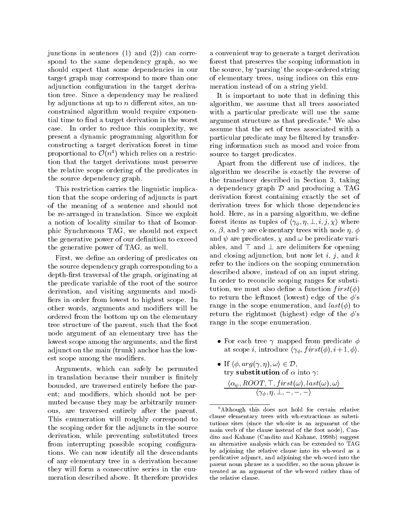junctions in sentences (1) and (2)) can correspond to the same dependency graph, so we should expect that some dependencies in our target graph may correspond to more than one adjunction configuration in the target derivation tree. Since a dependency may be realized by adjunctions at up to  $n$  different sites, an unconstrained algorithm would require exponential time to find a target derivation in the worst case. In order to reduce this complexity, we present a dynamic programming algorithm for constructing a target derivation forest in time proportional to  $O(n^2)$  which relies on a restriction that the target derivations must preserve the relative scope ordering of the predicates in the source dependency graph.

This restriction carries the linguistic implication that the scope ordering of adjuncts is part of the meaning of a sentence and should not be re-arranged in translation. Since we exploit a notion of locality similar to that of Isomorphic Synchronous TAG, we should not expect the generative power of our definition to exceed the generative power of TAG, as well.

First, we define an ordering of predicates on the source dependency graph corresponding to a depth-first traversal of the graph, originating at the predicate variable of the root of the source derivation, and visiting arguments and modi fiers in order from lowest to highest scope. In other words, arguments and modiers will be ordered from the bottom up on the elementary tree structure of the parent, such that the foot node argument of an elementary tree has the lowest scope among the arguments, and the first adjunct on the main (trunk) anchor has the lowest scope among the modifiers.

Arguments, which can safely be permuted in translation because their number is finitely bounded, are traversed entirely before the parent; and modifiers, which should not be permuted because they may be arbitrarily numerous, are traversed entirely after the parent. This enumeration will roughly correspond to the scoping order for the adjuncts in the source derivation, while preventing substituted trees from interrupting possible scoping configurations. We can now identify all the descendants of any elementary tree in a derivation because they will form a consecutive series in the enumeration described above. It therefore provides

a convenient way to generate a target derivation forest that preserves the scoping information in the source, by `parsing' the scope-ordered string of elementary trees, using indices on this enumeration instead of on a string yield.

It is important to note that in defining this algorithm, we assume that all trees associated with a particular predicate will use the same argument structure as that predicate.<sup>6</sup> We also assume that the set of trees associated with a particular predicate may be filtered by transferring information such as mood and voice from source to target predicates.

Apart from the different use of indices, the algorithm we describe is exactly the reverse of the transducer described in Section 3, taking a dependency graph  $\mathcal D$  and producing a TAG derivation forest containing exactly the set of derivation trees for which those dependencies hold. Here, as in a parsing algorithm, we define forest items as tuples of  $\langle \gamma_{\phi}, \eta, \perp, i, j, \chi \rangle$  where  $\alpha$ ,  $\beta$ , and  $\gamma$  are elementary trees with node  $\eta$ ,  $\phi$ and  $\psi$  are predicates,  $\chi$  and  $\omega$  be predicate variables, and  $\top$  and  $\bot$  are delimiters for opening and closing adjunction, but now let  $i, j$ , and  $k$ refer to the indices on the scoping enumeration described above, instead of on an input string. In order to reconcile scoping ranges for substitution, we must also define a function  $first(\phi)$ to return the leftmost (lowest) edge of the  $\phi$ 's range in the scope enumeration, and  $last(\phi)$  to return the rightmost (highest) edge of the  $\phi$ 's range in the scope enumeration.

- For each tree  $\gamma$  mapped from predicate  $\phi$ at scope *i*, introduce  $\langle \gamma_{\phi}, first(\phi), i+1, \phi \rangle$ .
- If  $\langle \phi, arg(\gamma, \eta), \omega \rangle \in \mathcal{D}$ , try substitution of  $\alpha$  into  $\gamma$ :  $\alpha_{\psi}$ ,  $\mu$ OO $\mu$ ,  $\mu$ ,  $\mu$  is  $\iota(\omega)$ ,  $\iota$ us $\iota(\omega)$ ,  $\omega$  $\setminus I\phi$ ,  $\prime I$ ,  $\rightarrow$   $\rightarrow$   $\prime$

<sup>&</sup>lt;sup>6</sup>Although this does not hold for certain relative clause elementary trees with wh-extractions as substitutions sites (since the wh-site is an argument of the main verb of the clause instead of the foot node), Candito and Kahane (Candito and Kahane, 1998b) suggest an alternative analysis which can be extended to TAG by adjoining the relative clause into its wh-word as a predicative adjunct, and adjoining the wh-word into the parent noun phrase as a modifier, so the noun phrase is treated as an argument of the wh-word rather than of the relative clause.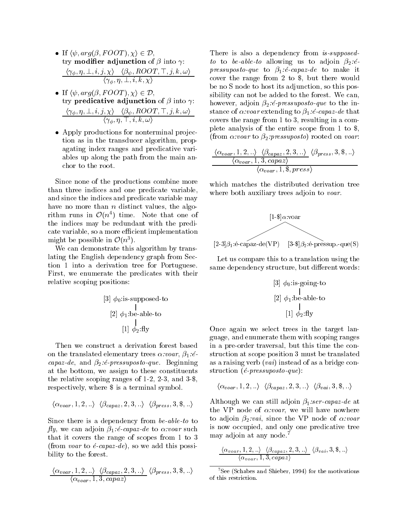- If  $\langle \psi, arg(\beta,FOOT), \chi \rangle \in \mathcal{D}$ , try **modifier adjunction** of  $\beta$  into  $\gamma$ :  $\langle \gamma_{\phi}, \eta, \perp, \iota, \jmath, \chi \rangle$   $\langle \rho_{\psi}, \iota \omega \rangle$  ,  $\langle \eta, \kappa, \omega \rangle$  ,  $\iota$  $\setminus$   $\setminus$   $\phi$ ,  $\eta$ ,  $\rightleftarrows$ ,  $\phi$ ,  $\eta$ ,  $\chi$
- If  $\langle \psi, \arg(\beta, FOOT), \chi \rangle \in \mathcal{D}$ , try predicative adjunction of  $\beta$  into  $\gamma$ :  $\langle \gamma_{\phi}, \eta, \perp, \iota, \jmath, \chi \rangle$   $\langle \rho_{\psi}, \iota \omega \rangle$ ,  $\langle \eta, \kappa, \omega \rangle$  $\setminus$   $\setminus$   $\phi$ ,  $\cdot$   $\setminus$   $\vdots$ ,  $\circ$ ,  $\circ$ ,  $\omega$  /
- Apply productions for nonterminal projection as in the transducer algorithm, propagating index ranges and predicative variables up along the path from the main anchor to the root.

Since none of the productions combine more than three indices and one predicate variable, and since the indices and predicate variable may have no more than  $n$  distinct values, the algorithm runs in  $O(n^2)$  time. Note that one of the indices may be redundant with the predicate variable, so a more efficient implementation inight be possible in  $\mathcal{O}(n^*)$ .

We can demonstrate this algorithm by translating the English dependency graph from Section 1 into a derivation tree for Portuguese. First, we enumerate the predicates with their relative scoping positions:

[3] 
$$
\phi_0
$$
:is-supposed-to  
\n[2]  $\phi_1$ :be-able-to  
\n
$$
\downarrow
$$
\n[1]  $\phi_2$ :fly

Then we construct a derivation forest based on the translated elementary trees  $\alpha:vox, \beta_1: \acute{e}$ capaz-de, and  $\beta_2$ : é-pressuposto-que. Beginning at the bottom, we assign to these constituents the relative scoping ranges of 1-2, 2-3, and 3-\$, respectively, where \$ is a terminal symbol.

$$
\langle \alpha_{voar}, 1, 2, ...\rangle \langle \beta_{capaz}, 2, 3, ...\rangle \langle \beta_{press}, 3, 3, ...\rangle
$$

Since there is a dependency from be-able-to to fly, we can adjoin  $\beta_1$ : é-capaz-de to  $\alpha$ :voar such that it covers the range of scopes from 1 to 3 (from voar to  $\acute{e}$ -capaz-de), so we add this possibility to the forest.

$$
\frac{\langle \alpha_{voar}, 1, 2, \ldots \rangle \langle \beta_{capaz}, 2, 3, \ldots \rangle}{\langle \alpha_{voar}, 1, 3, capaz \rangle} \langle \beta_{press}, 3, \$, \ldots \rangle
$$

There is also a dependency from *is-supposed*to to be-able-to allowing us to adjoin  $\beta_2$ :  $\acute{e}$ pressuposto-que to  $\beta_1$ :é-capaz-de to make it cover the range from 2 to \$, but there would be no S node to host its adjunction, so this possibility can not be added to the forest. We can, however, adjoin  $\beta_2$ : *é-pressuposto-que* to the instance of  $\alpha$ :voar extending to  $\beta_1$ :é-capaz-de that covers the range from 1 to 3, resulting in a complete analysis of the entire scope from 1 to \$, (from  $\alpha$ :voar to  $\beta_2$ :pressuposto) rooted on voar:

$$
\frac{\langle \alpha_{voar}, 1, 2, \ldots \rangle \langle \beta_{capaz}, 2, 3, \ldots \rangle}{\langle \alpha_{voar}, 1, 3, capaz \rangle} \langle \beta_{press}, 3, \$, \ldots \rangle
$$
  

$$
\langle \alpha_{voar}, 1, \$, press \rangle
$$

which matches the distributed derivation tree where both auxiliary trees adjoin to *voar*.



Let us compare this to a translation using the same dependency structure, but different words:

$$
\begin{array}{c}\n[3] \phi_0: \text{is-going-to} \\
[2] \phi_1: \text{be-able-to} \\
[1] \phi_2: \text{fly}\n\end{array}
$$

Once again we select trees in the target language, and enumerate them with scoping ranges in a pre-order traversal, but this time the construction at scope position 3 must be translated as a raising verb  $(vai)$  instead of as a bridge construction  $(e<sub>-</sub> pressure)$ :

$$
\langle \alpha_{voar}, 1, 2, \ldots \rangle \quad \langle \beta_{capaz}, 2, 3, \ldots \rangle \quad \langle \beta_{vai}, 3, \$, \ldots \rangle
$$

Although we can still adjoin  $\beta_1$ :ser-capaz-de at the VP node of  $\alpha:voar$ , we will have nowhere to adjoin  $\beta_2: vai$ , since the VP node of  $\alpha: von$ is now occupied, and only one predicative tree may adjoin at any node.7

$$
\frac{\langle \alpha_{voar}, 1, 2, \ldots \rangle \langle \beta_{capaz}, 2, 3, \ldots \rangle}{\langle \alpha_{voar}, 1, 3, capaz \rangle} \langle \beta_{vai}, 3, \$\ldots \rangle
$$

 $7$ See (Schabes and Shieber, 1994) for the motivations of this restriction.